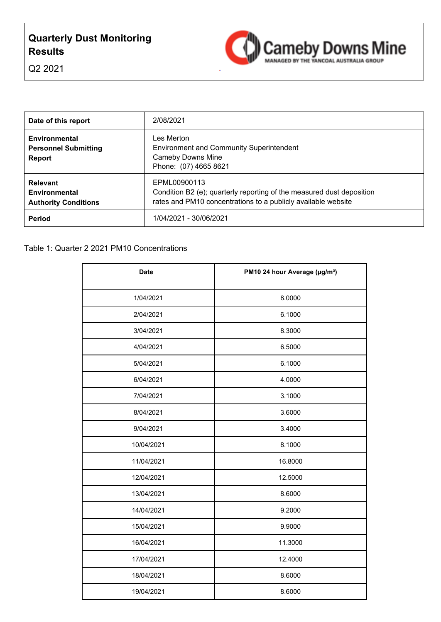# **Quarterly Dust Monitoring Results**



Q2 2021

| Date of this report                                             | 2/08/2021                                                                                                                                              |
|-----------------------------------------------------------------|--------------------------------------------------------------------------------------------------------------------------------------------------------|
| Environmental<br><b>Personnel Submitting</b><br><b>Report</b>   | Les Merton<br><b>Environment and Community Superintendent</b><br><b>Cameby Downs Mine</b><br>Phone: (07) 4665 8621                                     |
| <b>Relevant</b><br>Environmental<br><b>Authority Conditions</b> | EPML00900113<br>Condition B2 (e); quarterly reporting of the measured dust deposition<br>rates and PM10 concentrations to a publicly available website |
| Period                                                          | 1/04/2021 - 30/06/2021                                                                                                                                 |

| <b>Date</b> | PM10 24 hour Average (µg/m <sup>3</sup> ) |
|-------------|-------------------------------------------|
| 1/04/2021   | 8.0000                                    |
| 2/04/2021   | 6.1000                                    |
| 3/04/2021   | 8.3000                                    |
| 4/04/2021   | 6.5000                                    |
| 5/04/2021   | 6.1000                                    |
| 6/04/2021   | 4.0000                                    |
| 7/04/2021   | 3.1000                                    |
| 8/04/2021   | 3.6000                                    |
| 9/04/2021   | 3.4000                                    |
| 10/04/2021  | 8.1000                                    |
| 11/04/2021  | 16.8000                                   |
| 12/04/2021  | 12.5000                                   |
| 13/04/2021  | 8.6000                                    |
| 14/04/2021  | 9.2000                                    |
| 15/04/2021  | 9.9000                                    |
| 16/04/2021  | 11.3000                                   |
| 17/04/2021  | 12.4000                                   |
| 18/04/2021  | 8.6000                                    |
| 19/04/2021  | 8.6000                                    |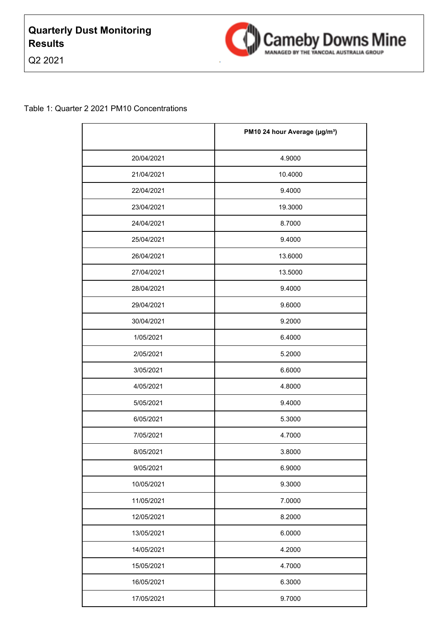Q2 2021



|            | PM10 24 hour Average (µg/m <sup>3</sup> ) |
|------------|-------------------------------------------|
| 20/04/2021 | 4.9000                                    |
| 21/04/2021 | 10.4000                                   |
| 22/04/2021 | 9.4000                                    |
| 23/04/2021 | 19.3000                                   |
| 24/04/2021 | 8.7000                                    |
| 25/04/2021 | 9.4000                                    |
| 26/04/2021 | 13.6000                                   |
| 27/04/2021 | 13.5000                                   |
| 28/04/2021 | 9.4000                                    |
| 29/04/2021 | 9.6000                                    |
| 30/04/2021 | 9.2000                                    |
| 1/05/2021  | 6.4000                                    |
| 2/05/2021  | 5.2000                                    |
| 3/05/2021  | 6.6000                                    |
| 4/05/2021  | 4.8000                                    |
| 5/05/2021  | 9.4000                                    |
| 6/05/2021  | 5.3000                                    |
| 7/05/2021  | 4.7000                                    |
| 8/05/2021  | 3.8000                                    |
| 9/05/2021  | 6.9000                                    |
| 10/05/2021 | 9.3000                                    |
| 11/05/2021 | 7.0000                                    |
| 12/05/2021 | 8.2000                                    |
| 13/05/2021 | 6.0000                                    |
| 14/05/2021 | 4.2000                                    |
| 15/05/2021 | 4.7000                                    |
| 16/05/2021 | 6.3000                                    |
| 17/05/2021 | 9.7000                                    |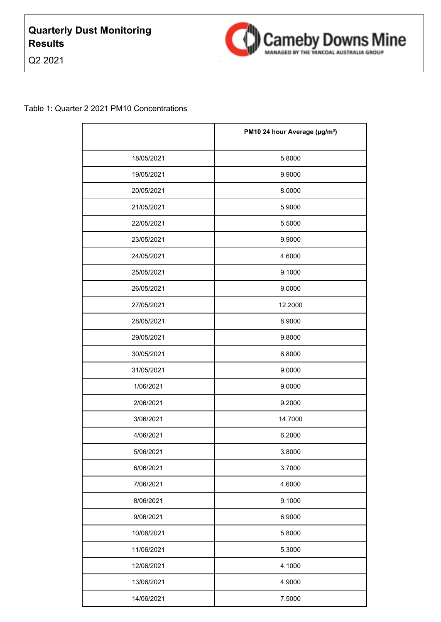Q2 2021



|            | PM10 24 hour Average (µg/m <sup>3</sup> ) |
|------------|-------------------------------------------|
| 18/05/2021 | 5.8000                                    |
| 19/05/2021 | 9.9000                                    |
| 20/05/2021 | 8.0000                                    |
| 21/05/2021 | 5.9000                                    |
| 22/05/2021 | 5.5000                                    |
| 23/05/2021 | 9.9000                                    |
| 24/05/2021 | 4.6000                                    |
| 25/05/2021 | 9.1000                                    |
| 26/05/2021 | 9.0000                                    |
| 27/05/2021 | 12.2000                                   |
| 28/05/2021 | 8.9000                                    |
| 29/05/2021 | 9.8000                                    |
| 30/05/2021 | 6.8000                                    |
| 31/05/2021 | 9.0000                                    |
| 1/06/2021  | 9.0000                                    |
| 2/06/2021  | 9.2000                                    |
| 3/06/2021  | 14.7000                                   |
| 4/06/2021  | 6.2000                                    |
| 5/06/2021  | 3.8000                                    |
| 6/06/2021  | 3.7000                                    |
| 7/06/2021  | 4.6000                                    |
| 8/06/2021  | 9.1000                                    |
| 9/06/2021  | 6.9000                                    |
| 10/06/2021 | 5.8000                                    |
| 11/06/2021 | 5.3000                                    |
| 12/06/2021 | 4.1000                                    |
| 13/06/2021 | 4.9000                                    |
| 14/06/2021 | 7.5000                                    |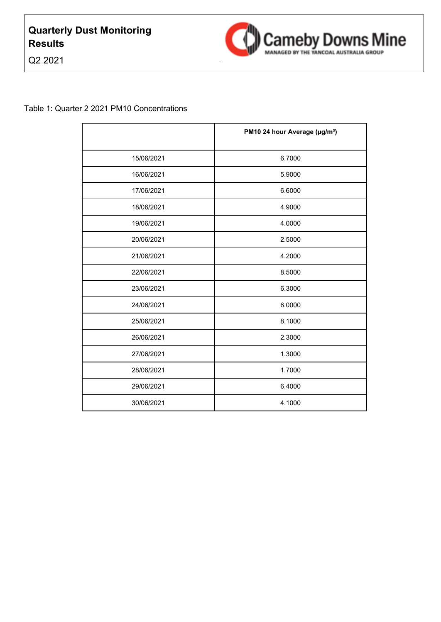Q2 2021



|            | PM10 24 hour Average (µg/m <sup>3</sup> ) |
|------------|-------------------------------------------|
| 15/06/2021 | 6.7000                                    |
| 16/06/2021 | 5.9000                                    |
| 17/06/2021 | 6.6000                                    |
| 18/06/2021 | 4.9000                                    |
| 19/06/2021 | 4.0000                                    |
| 20/06/2021 | 2.5000                                    |
| 21/06/2021 | 4.2000                                    |
| 22/06/2021 | 8.5000                                    |
| 23/06/2021 | 6.3000                                    |
| 24/06/2021 | 6.0000                                    |
| 25/06/2021 | 8.1000                                    |
| 26/06/2021 | 2.3000                                    |
| 27/06/2021 | 1.3000                                    |
| 28/06/2021 | 1.7000                                    |
| 29/06/2021 | 6.4000                                    |
| 30/06/2021 | 4.1000                                    |